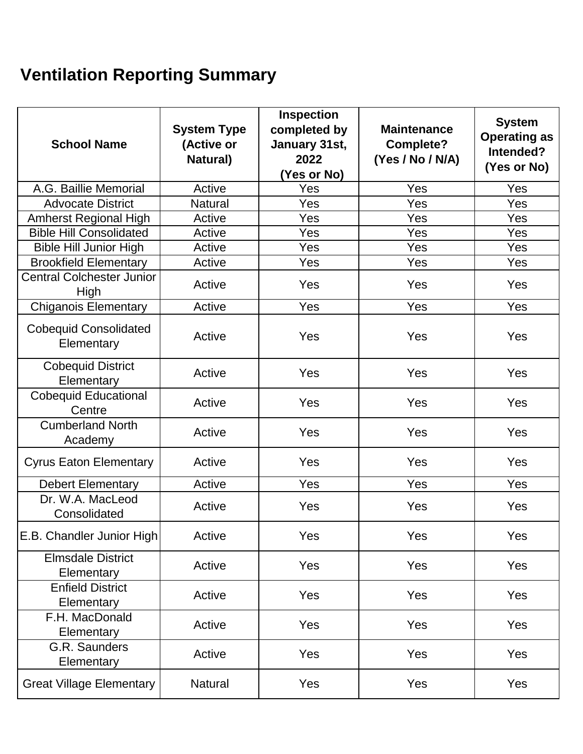## **Ventilation Reporting Summary**

| <b>School Name</b>                         | <b>System Type</b><br>(Active or<br><b>Natural</b> ) | <b>Inspection</b><br>completed by<br>January 31st,<br>2022<br>(Yes or No) | <b>Maintenance</b><br><b>Complete?</b><br>(Yes / No / N/A) | <b>System</b><br><b>Operating as</b><br>Intended?<br>(Yes or No) |
|--------------------------------------------|------------------------------------------------------|---------------------------------------------------------------------------|------------------------------------------------------------|------------------------------------------------------------------|
| A.G. Baillie Memorial                      | Active                                               | Yes                                                                       | <b>Yes</b>                                                 | Yes                                                              |
| <b>Advocate District</b>                   | <b>Natural</b>                                       | Yes                                                                       | Yes                                                        | Yes                                                              |
| <b>Amherst Regional High</b>               | Active                                               | Yes                                                                       | Yes                                                        | Yes                                                              |
| <b>Bible Hill Consolidated</b>             | Active                                               | Yes                                                                       | Yes                                                        | Yes                                                              |
| <b>Bible Hill Junior High</b>              | Active                                               | Yes                                                                       | Yes                                                        | Yes                                                              |
| <b>Brookfield Elementary</b>               | Active                                               | Yes                                                                       | Yes                                                        | Yes                                                              |
| <b>Central Colchester Junior</b><br>High   | Active                                               | Yes                                                                       | Yes                                                        | Yes                                                              |
| <b>Chiganois Elementary</b>                | Active                                               | Yes                                                                       | Yes                                                        | Yes                                                              |
| <b>Cobequid Consolidated</b><br>Elementary | Active                                               | Yes                                                                       | Yes                                                        | Yes                                                              |
| <b>Cobequid District</b><br>Elementary     | <b>Active</b>                                        | Yes                                                                       | Yes                                                        | Yes                                                              |
| <b>Cobequid Educational</b><br>Centre      | Active                                               | Yes                                                                       | Yes                                                        | Yes                                                              |
| <b>Cumberland North</b><br>Academy         | Active                                               | Yes                                                                       | Yes                                                        | Yes                                                              |
| <b>Cyrus Eaton Elementary</b>              | Active                                               | Yes                                                                       | Yes                                                        | Yes                                                              |
| <b>Debert Elementary</b>                   | Active                                               | Yes                                                                       | Yes                                                        | Yes                                                              |
| Dr. W.A. MacLeod<br>Consolidated           | Active                                               | Yes                                                                       | Yes                                                        | Yes                                                              |
| E.B. Chandler Junior High                  | Active                                               | Yes                                                                       | Yes                                                        | Yes                                                              |
| <b>Elmsdale District</b><br>Elementary     | Active                                               | Yes                                                                       | Yes                                                        | Yes                                                              |
| <b>Enfield District</b><br>Elementary      | Active                                               | Yes                                                                       | Yes                                                        | Yes                                                              |
| F.H. MacDonald<br>Elementary               | Active                                               | Yes                                                                       | Yes                                                        | Yes                                                              |
| G.R. Saunders<br>Elementary                | Active                                               | Yes                                                                       | Yes                                                        | Yes                                                              |
| <b>Great Village Elementary</b>            | <b>Natural</b>                                       | Yes                                                                       | Yes                                                        | Yes                                                              |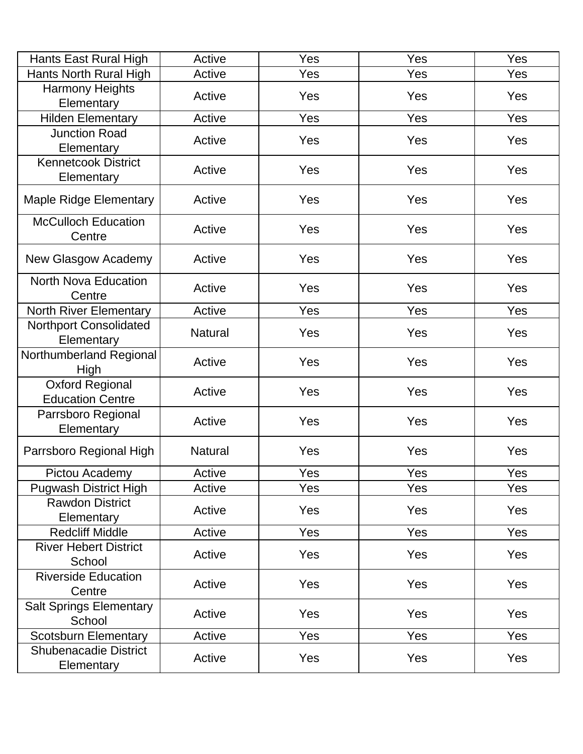| <b>Hants East Rural High</b>                      | Active         | Yes | Yes | <b>Yes</b> |
|---------------------------------------------------|----------------|-----|-----|------------|
| Hants North Rural High                            | Active         | Yes | Yes | <b>Yes</b> |
| <b>Harmony Heights</b><br>Elementary              | Active         | Yes | Yes | <b>Yes</b> |
| <b>Hilden Elementary</b>                          | Active         | Yes | Yes | Yes        |
| <b>Junction Road</b><br>Elementary                | Active         | Yes | Yes | <b>Yes</b> |
| <b>Kennetcook District</b><br>Elementary          | Active         | Yes | Yes | <b>Yes</b> |
| <b>Maple Ridge Elementary</b>                     | Active         | Yes | Yes | <b>Yes</b> |
| <b>McCulloch Education</b><br>Centre              | Active         | Yes | Yes | <b>Yes</b> |
| New Glasgow Academy                               | Active         | Yes | Yes | <b>Yes</b> |
| <b>North Nova Education</b><br>Centre             | Active         | Yes | Yes | <b>Yes</b> |
| <b>North River Elementary</b>                     | Active         | Yes | Yes | <b>Yes</b> |
| <b>Northport Consolidated</b><br>Elementary       | <b>Natural</b> | Yes | Yes | <b>Yes</b> |
| Northumberland Regional<br>High                   | Active         | Yes | Yes | <b>Yes</b> |
| <b>Oxford Regional</b><br><b>Education Centre</b> | Active         | Yes | Yes | <b>Yes</b> |
| Parrsboro Regional<br>Elementary                  | Active         | Yes | Yes | Yes        |
| Parrsboro Regional High                           | <b>Natural</b> | Yes | Yes | <b>Yes</b> |
| Pictou Academy                                    | Active         | Yes | Yes | Yes        |
| <b>Pugwash District High</b>                      | Active         | Yes | Yes | Yes        |
| <b>Rawdon District</b><br>Elementary              | Active         | Yes | Yes | <b>Yes</b> |
| <b>Redcliff Middle</b>                            | Active         | Yes | Yes | Yes        |
| <b>River Hebert District</b><br>School            | Active         | Yes | Yes | <b>Yes</b> |
| <b>Riverside Education</b><br>Centre              | Active         | Yes | Yes | <b>Yes</b> |
| <b>Salt Springs Elementary</b><br>School          | Active         | Yes | Yes | <b>Yes</b> |
| <b>Scotsburn Elementary</b>                       | Active         | Yes | Yes | Yes        |
| <b>Shubenacadie District</b><br>Elementary        | Active         | Yes | Yes | <b>Yes</b> |